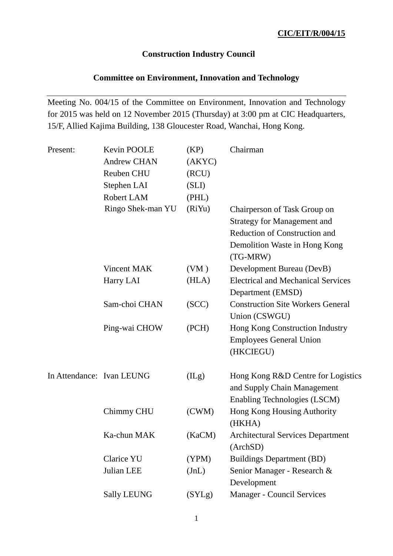## **Construction Industry Council**

### **Committee on Environment, Innovation and Technology**

Meeting No. 004/15 of the Committee on Environment, Innovation and Technology for 2015 was held on 12 November 2015 (Thursday) at 3:00 pm at CIC Headquarters, 15/F, Allied Kajima Building, 138 Gloucester Road, Wanchai, Hong Kong.

| Present:                  | Kevin POOLE        | (KP)   | Chairman                                                          |
|---------------------------|--------------------|--------|-------------------------------------------------------------------|
|                           | <b>Andrew CHAN</b> | (AKYC) |                                                                   |
|                           | <b>Reuben CHU</b>  | (RCU)  |                                                                   |
|                           | Stephen LAI        | (SLI)  |                                                                   |
|                           | Robert LAM         | (PHL)  |                                                                   |
|                           | Ringo Shek-man YU  | (RiYu) | Chairperson of Task Group on                                      |
|                           |                    |        | <b>Strategy for Management and</b>                                |
|                           |                    |        | <b>Reduction of Construction and</b>                              |
|                           |                    |        | Demolition Waste in Hong Kong<br>(TG-MRW)                         |
|                           | Vincent MAK        | (VM)   | Development Bureau (DevB)                                         |
|                           | Harry LAI          | (HLA)  | <b>Electrical and Mechanical Services</b><br>Department (EMSD)    |
|                           | Sam-choi CHAN      | (SCC)  | <b>Construction Site Workers General</b>                          |
|                           |                    |        | Union (CSWGU)                                                     |
|                           | Ping-wai CHOW      | (PCH)  | Hong Kong Construction Industry                                   |
|                           |                    |        | <b>Employees General Union</b><br>(HKCIEGU)                       |
| In Attendance: Ivan LEUNG |                    | (ILg)  | Hong Kong R&D Centre for Logistics<br>and Supply Chain Management |
|                           |                    |        | Enabling Technologies (LSCM)                                      |
|                           | Chimmy CHU         | (CWM)  | Hong Kong Housing Authority                                       |
|                           |                    |        | (HKHA)                                                            |
|                           | Ka-chun MAK        | (KaCM) | <b>Architectural Services Department</b>                          |
|                           |                    |        | (ArchSD)                                                          |
|                           | Clarice YU         | (YPM)  | <b>Buildings Department (BD)</b>                                  |
|                           | Julian LEE         | JnL)   | Senior Manager - Research &                                       |
|                           |                    |        | Development                                                       |
|                           | <b>Sally LEUNG</b> | (SYLg) | Manager - Council Services                                        |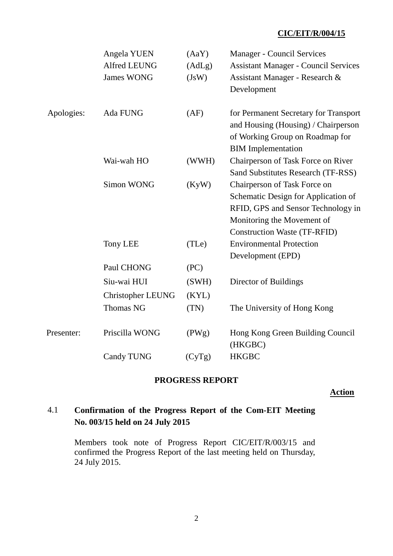### **CIC/EIT/R/004/15**

|            | Angela YUEN<br>Alfred LEUNG<br><b>James WONG</b> | (AaY)<br>(AdLg)<br>(JsW) | <b>Manager - Council Services</b><br><b>Assistant Manager - Council Services</b><br>Assistant Manager - Research &<br>Development                                              |
|------------|--------------------------------------------------|--------------------------|--------------------------------------------------------------------------------------------------------------------------------------------------------------------------------|
| Apologies: | Ada FUNG                                         | (AF)                     | for Permanent Secretary for Transport<br>and Housing (Housing) / Chairperson<br>of Working Group on Roadmap for<br><b>BIM</b> Implementation                                   |
|            | Wai-wah HO                                       | (WWH)                    | Chairperson of Task Force on River<br>Sand Substitutes Research (TF-RSS)                                                                                                       |
|            | <b>Simon WONG</b>                                | (KyW)                    | Chairperson of Task Force on<br>Schematic Design for Application of<br>RFID, GPS and Sensor Technology in<br>Monitoring the Movement of<br><b>Construction Waste (TF-RFID)</b> |
|            | <b>Tony LEE</b>                                  | (TLe)                    | <b>Environmental Protection</b><br>Development (EPD)                                                                                                                           |
|            | Paul CHONG                                       | (PC)                     |                                                                                                                                                                                |
|            | Siu-wai HUI                                      | (SWH)                    | Director of Buildings                                                                                                                                                          |
|            | <b>Christopher LEUNG</b>                         | (KYL)                    |                                                                                                                                                                                |
|            | <b>Thomas NG</b>                                 | (TN)                     | The University of Hong Kong                                                                                                                                                    |
| Presenter: | Priscilla WONG                                   | (PWg)                    | Hong Kong Green Building Council<br>(HKGBC)                                                                                                                                    |
|            | <b>Candy TUNG</b>                                | (CyTg)                   | <b>HKGBC</b>                                                                                                                                                                   |

### **PROGRESS REPORT**

**Action**

## 4.1 **Confirmation of the Progress Report of the Com-EIT Meeting No. 003/15 held on 24 July 2015**

Members took note of Progress Report CIC/EIT/R/003/15 and confirmed the Progress Report of the last meeting held on Thursday, 24 July 2015.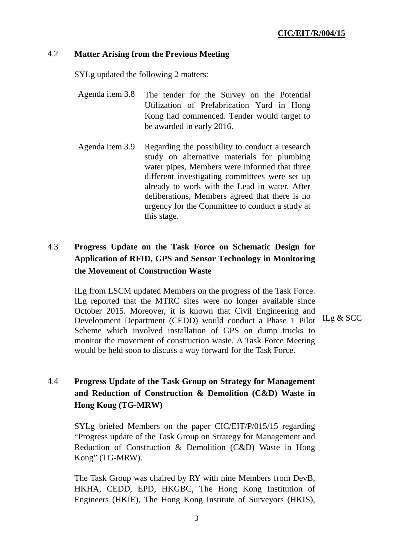### 4.2 **Matter Arising from the Previous Meeting**

SYLg updated the following 2 matters:

- Agenda item 3.8 The tender for the Survey on the Potential Utilization of Prefabrication Yard in Hong Kong had commenced. Tender would target to be awarded in early 2016.
- Agenda item 3.9 Regarding the possibility to conduct a research study on alternative materials for plumbing water pipes, Members were informed that three different investigating committees were set up already to work with the Lead in water. After deliberations, Members agreed that there is no urgency for the Committee to conduct a study at this stage.

## 4.3 **Progress Update on the Task Force on Schematic Design for Application of RFID, GPS and Sensor Technology in Monitoring the Movement of Construction Waste**

ILg from LSCM updated Members on the progress of the Task Force. ILg reported that the MTRC sites were no longer available since October 2015. Moreover, it is known that Civil Engineering and Development Department (CEDD) would conduct a Phase 1 Pilot ILg & SCC Scheme which involved installation of GPS on dump trucks to monitor the movement of construction waste. A Task Force Meeting would be held soon to discuss a way forward for the Task Force.

# 4.4 **Progress Update of the Task Group on Strategy for Management and Reduction of Construction & Demolition (C&D) Waste in Hong Kong (TG-MRW)**

SYLg briefed Members on the paper CIC/EIT/P/015/15 regarding "Progress update of the Task Group on Strategy for Management and Reduction of Construction & Demolition (C&D) Waste in Hong Kong" (TG-MRW).

The Task Group was chaired by RY with nine Members from DevB, HKHA, CEDD, EPD, HKGBC, The Hong Kong Institution of Engineers (HKIE), The Hong Kong Institute of Surveyors (HKIS),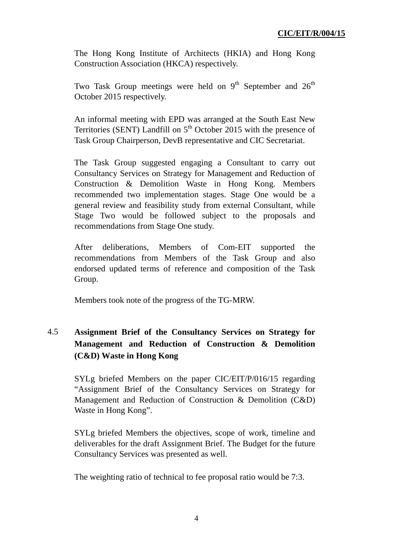The Hong Kong Institute of Architects (HKIA) and Hong Kong Construction Association (HKCA) respectively.

Two Task Group meetings were held on  $9<sup>th</sup>$  September and  $26<sup>th</sup>$ October 2015 respectively.

An informal meeting with EPD was arranged at the South East New Territories (SENT) Landfill on  $5<sup>th</sup>$  October 2015 with the presence of Task Group Chairperson, DevB representative and CIC Secretariat.

The Task Group suggested engaging a Consultant to carry out Consultancy Services on Strategy for Management and Reduction of Construction & Demolition Waste in Hong Kong. Members recommended two implementation stages. Stage One would be a general review and feasibility study from external Consultant, while Stage Two would be followed subject to the proposals and recommendations from Stage One study.

After deliberations, Members of Com-EIT supported the recommendations from Members of the Task Group and also endorsed updated terms of reference and composition of the Task Group.

Members took note of the progress of the TG-MRW.

## 4.5 **Assignment Brief of the Consultancy Services on Strategy for Management and Reduction of Construction & Demolition (C&D) Waste in Hong Kong**

SYLg briefed Members on the paper CIC/EIT/P/016/15 regarding "Assignment Brief of the Consultancy Services on Strategy for Management and Reduction of Construction & Demolition (C&D) Waste in Hong Kong".

SYLg briefed Members the objectives, scope of work, timeline and deliverables for the draft Assignment Brief. The Budget for the future Consultancy Services was presented as well.

The weighting ratio of technical to fee proposal ratio would be 7:3.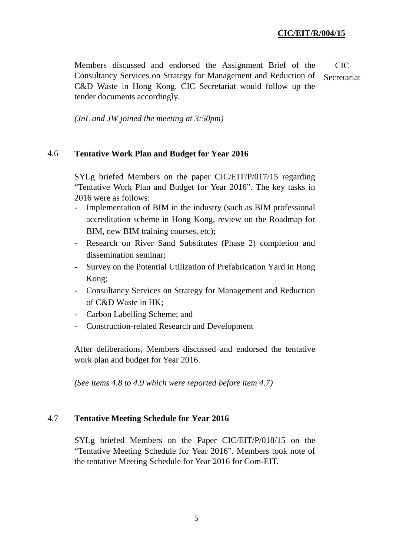Members discussed and endorsed the Assignment Brief of the Consultancy Services on Strategy for Management and Reduction of C&D Waste in Hong Kong. CIC Secretariat would follow up the tender documents accordingly. CIC Secretariat

*(JnL and JW joined the meeting at 3:50pm)*

#### 4.6 **Tentative Work Plan and Budget for Year 2016**

SYLg briefed Members on the paper CIC/EIT/P/017/15 regarding "Tentative Work Plan and Budget for Year 2016". The key tasks in 2016 were as follows:

- Implementation of BIM in the industry (such as BIM professional accreditation scheme in Hong Kong, review on the Roadmap for BIM, new BIM training courses, etc);
- Research on River Sand Substitutes (Phase 2) completion and dissemination seminar;
- Survey on the Potential Utilization of Prefabrication Yard in Hong Kong;
- Consultancy Services on Strategy for Management and Reduction of C&D Waste in HK;
- Carbon Labelling Scheme; and
- Construction-related Research and Development

After deliberations, Members discussed and endorsed the tentative work plan and budget for Year 2016.

*(See items 4.8 to 4.9 which were reported before item 4.7)*

#### 4.7 **Tentative Meeting Schedule for Year 2016**

SYLg briefed Members on the Paper CIC/EIT/P/018/15 on the "Tentative Meeting Schedule for Year 2016". Members took note of the tentative Meeting Schedule for Year 2016 for Com-EIT.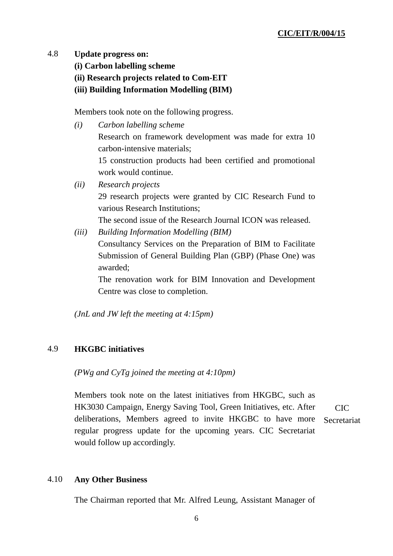#### 4.8 **Update progress on:**

- **(i) Carbon labelling scheme**
- **(ii) Research projects related to Com-EIT**
- **(iii) Building Information Modelling (BIM)**

Members took note on the following progress.

- *(i) Carbon labelling scheme*  Research on framework development was made for extra 10 carbon-intensive materials; 15 construction products had been certified and promotional work would continue. *(ii) Research projects*
- 29 research projects were granted by CIC Research Fund to various Research Institutions;

The second issue of the Research Journal ICON was released.

*(iii) Building Information Modelling (BIM)* 

Consultancy Services on the Preparation of BIM to Facilitate Submission of General Building Plan (GBP) (Phase One) was awarded;

The renovation work for BIM Innovation and Development Centre was close to completion.

*(JnL and JW left the meeting at 4:15pm)*

#### 4.9 **HKGBC initiatives**

*(PWg and CyTg joined the meeting at 4:10pm)*

Members took note on the latest initiatives from HKGBC, such as HK3030 Campaign, Energy Saving Tool, Green Initiatives, etc. After deliberations, Members agreed to invite HKGBC to have more regular progress update for the upcoming years. CIC Secretariat would follow up accordingly. CIC Secretariat

#### 4.10 **Any Other Business**

The Chairman reported that Mr. Alfred Leung, Assistant Manager of